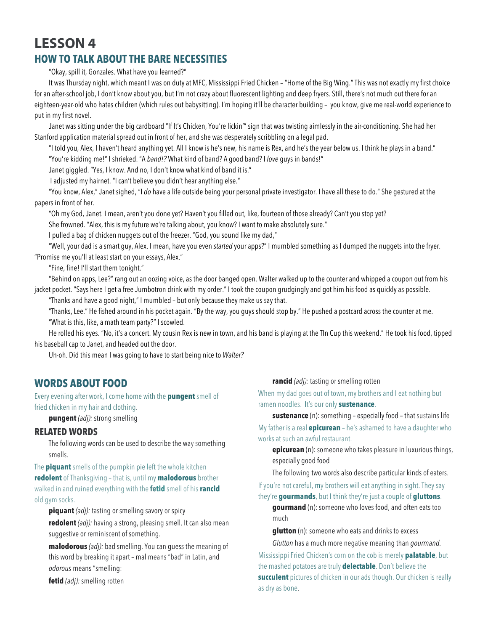# **LESSON 4 HOW TO TALK ABOUT THE BARE NECESSITIES**

"Okay, spill it, Gonzales. What have you learned?"

It was Thursday night, which meant I was on duty at MFC, Mississippi Fried Chicken – "Home of the Big Wing." This was not exactly my first choice for an after-school job, I don't know about you, but I'm not crazy about fluorescent lighting and deep fryers. Still, there's not much out there for an eighteen-year·old who hates children (which rules out babysitting). I'm hoping it'll be character building – you know, give me real-world experience to put in my first novel.

Janet was sitting under the big cardboard "If It's Chicken, You're lickin'" sign that was twisting aimlessly in the air-conditioning. She had her Stanford application material spread out in front of her, and she was desperately scribbling on a legal pad.

"I told you, Alex, I haven't heard anything yet. All I know is he's new, his name is Rex, and he's the year below us. I think he plays in a band." "You're kidding me!" I shrieked. "A *band!?* What kind of band? A good band? I *love* guys in bands!"

Janet giggled. "Yes, I know. And no, I don't know what kind of band it is."

I adjusted my hairnet. "I can't believe you didn't hear anything else."

"You know, Alex," Janet sighed, "I *do* have a life outside being your personal private investigator. I have all these to do." She gestured at the papers in front of her.

"Oh my God, Janet. I mean, aren't you done yet? Haven't you filled out, like, fourteen of those already? Can't you stop yet?

She frowned. "Alex, this is my future we're talking about, you know? I want to make absolutely sure."

I pulled a bag of chicken nuggets out of the freezer. "God, you sound like my dad,"

"Well, your dad is a smart guy, Alex. I mean, have you even *started* your apps?" I mumbled something as I dumped the nuggets into the fryer. "Promise me you'll at least start on your essays, Alex."

"Fine, fine! I'll start them tonight."

"Behind on apps, Lee?" rang out an oozing voice, as the door banged open. Walter walked up to the counter and whipped a coupon out from his jacket pocket. "Says here I get a free Jumbotron drink with my order." I took the coupon grudgingly and got him his food as quickly as possible.

"Thanks and have a good night," I mumbled – but only because they make us say that.

"Thanks, Lee." He fished around in his pocket again. "By the way, you guys should stop by." He pushed a postcard across the counter at me. "What is this, like, a math team party?" I scowled.

He rolled his eyes. "No, it's a concert. My cousin Rex is new in town, and his band is playing at the TIn Cup this weekend." He took his food, tipped his baseball cap to Janet, and headed out the door.

Uh-oh. Did this mean I was going to have to start being nice to *Walter?*

## **WORDS ABOUT FOOD**

Every evening after work, I come home with the **pungent** smell of fried chicken in my hair and clothing.

**pungent** *(adj):* strong smelling

### **RELATED WORDS**

The following words can be used to describe the way something smells.

The **piquant** smells of the pumpkin pie left the whole kitchen **redolent** of Thanksgiving – that is, until my **malodorous** brother walked in and ruined everything with the **fetid** smell of his **rancid** old gym socks.

**piquant** *(adj):* tasting or smelling savory or spicy

**redolent** *(adj):* having a strong, pleasing smell. It can also mean suggestive or reminiscent of something.

**malodorous** *(adj):* bad smelling. You can guess the meaning of this word by breaking it apart – mal means "bad" in Latin, and *odorous* means "smelling:

**fetid** *(adj):* smelling rotten

**rancid** *(adj):* tasting or smelling rotten

When my dad goes out of town, my brothers and I eat nothing but ramen noodles. It's our only **sustenance**.

**sustenance** (n): something – especially food – that sustains life My father is a real **epicurean** – he's ashamed to have a daughter who works at such an awful restaurant.

**epicurean** (n): someone who takes pleasure in luxurious things, especially good food

The following two words also describe particular kinds of eaters.

If you're not careful, my brothers will eat anything in sight. They say they're **gourmands**, but I think they're just a couple of **gluttons**.

**gourmand** (n): someone who loves food, and often eats too much

**glutton** (n): someone who eats and drinks to excess

*Glutton* has a much more negative meaning than *gourmand.* Mississippi Fried Chicken's corn on the cob is merely **palatable**, but the mashed potatoes are truly **delectable**. Don't believe the **succulent** pictures of chicken in our ads though. Our chicken is really as dry as bone.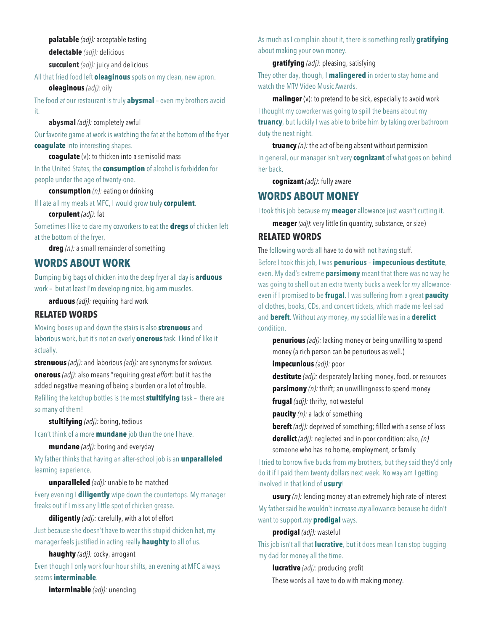**palatable** *(adj):* acceptable tasting

**delectable** *(adj):* delicious

**succulent** *(adj):* juicy and delicious

All that fried food left **oleaginous** spots on my clean, new apron.

**oleaginous** *(adj):* oily

The food *at* our restaurant is truly **abysmal** – even my brothers avoid it.

### **abysmal** *(adj):* completely awful

Our favorite game at work is watching the fat at the bottom of the fryer **coagulate** into interesting shapes.

**coagulate** (v): to thicken into a semisolid mass

In the United States, the **consumption** of alcohol is forbidden for people under the age of twenty·one.

#### **consumption** *(n):* eating or drinking

If I ate all my meals at MFC, I would grow truly **corpulent**.

### **corpulent** *(adj):* fat

Sometimes I like to dare my coworkers to eat the **dregs** of chicken left at the bottom of the fryer,

**dreg** *(n):* a small remainder of something

# **WORDS ABOUT WORK**

Dumping big bags of chicken into the deep fryer all day is **arduous** work – but at least I'm developing nice, big arm muscles.

**arduous** *(adj):* requiring hard work

### **RELATED WORDS**

Moving boxes up and down the stairs is also **strenuous** and laborious work, but it's not an overly **onerous** task. I kind of like it actually.

**strenuous** *(adj):* and laborious *(adj):* are synonyms for *arduous.* **onerous** *(adj):* also means "requiring great *effort:* but it has the added negative meaning of being *a* burden or a lot of trouble.

Refilling the ketchup bottles is the most **stultifying** task – there are so many of them!

### **stultifying** *(adj):* boring, tedious

I can't think of a more **mundane** job than the one I have.

#### **mundane** *(adj):* boring and everyday

My father thinks that having an after-school job is an **unparalleled** learning experience.

**unparalleled** *(adj):* unable to be matched

Every evening I **diligently** wipe down the countertops. My manager freaks out if I miss any little spot of chicken grease.

### **diligently** *(adj):* carefully, with a lot of effort

Just because she doesn't have to wear this stupid chicken hat, my manager feels justified in acting really **haughty** to all of us.

### **haughty** *(adj):* cocky, arrogant

Even though I only work four·hour shifts, an evening at MFC always seems **interminable**.

**intermlnable** *(adj):* unending

As much as I complain about it, there is something really **gratifying** about making your own money.

**gratifying** *(adj):* pleasing, satisfying

They other day, though, I **malingered** in order to stay home and watch the MTV Video Music Awards.

**malinger** (v): to pretend to be sick, especially to avoid work

I thought my coworker was going to spill the beans about my **truancy**, but luckily I was able to bribe him by taking over bathroom duty the next night.

**truancy** *(n):* the act of being absent without permission In general, our manager isn't very **cognizant** of what goes on behind her back.

**cognizant** *(adj):* fully aware

# **WORDS ABOUT MONEY**

I took this job because my **meager** allowance just wasn't cutting it.

**meager** (adj): very little (in quantity, substance, or size)

## **RELATED WORDS**

The following words all have to do with not having stuff.

Before I took this job, I was **penurious** – **impecunious**-**destitute**, even. My dad's extreme **parsimony** meant that there was no way he was going to shell out an extra twenty bucks a week for *my* allowanceeven if I promised to be **frugal**. I was suffering from a great **paucity** of clothes, books, CDs, and concert tickets, which made me feel sad and **bereft**. Without *any* money, *my* social life was in a **derelict** condition.

**penurious** *(adj):* lacking money or being unwilling to spend money (a rich person can be penurious as well.)

**impecunious** *(adj):* poor

**destitute** *(adj):* desperately lacking money, food, or resources **parsimony** *(n):* thrift; an unwillingness to spend money

**frugal** *(adj):* thrifty, not wasteful

**paucity** *(n):* a lack of something

**bereft** *(adj)*: deprived of something; filled with a sense of loss

**derelict** *(adj):* neglected and in poor condition; also, *(n)*  someone who has no home, employment, or family

I tried to borrow five bucks from *my* brothers, but they said they'd only do it if I paid them twenty dollars next week. No way am I getting involved in that kind of **usury**!

**usury** *(n):* lending money at an extremely high rate of interest My father said he wouldn't increase *my* allowance because he didn't want to support *my* **prodigal** ways.

### **prodigal** *(adj):* wasteful

This job isn't all that **lucrative**, but it does mean I can stop bugging my dad for money all the time.

**lucrative** *(adj):* producing profit These words all have to do with making money.